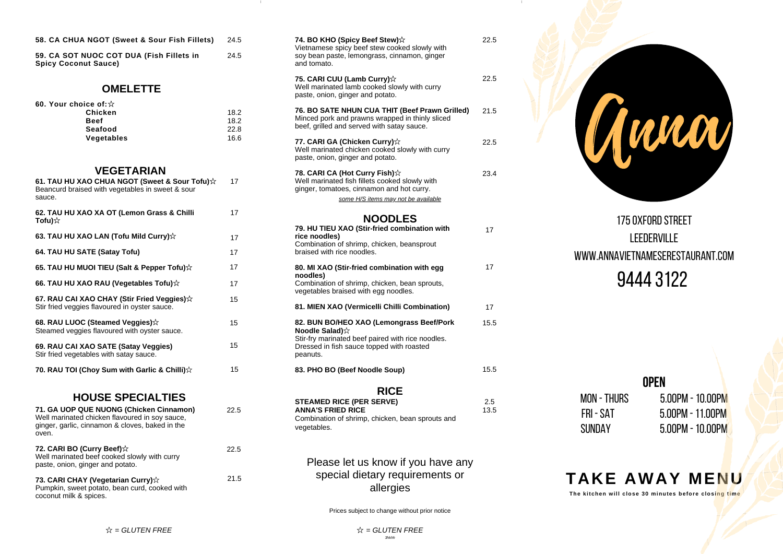| 58. CA CHUA NGOT (Sweet & Sour Fish Fillets) 24.5 |  |
|---------------------------------------------------|--|
|                                                   |  |

#### **OMELETTE**

| 60. Your choice of: $\&$ |      |
|--------------------------|------|
| Chicken                  | 18.2 |
| <b>Beef</b>              | 18.2 |
| Seafood                  | 22.8 |
| Vegetables               | 16.6 |

### **VEGETARIAN**

| 58. CA CHUA NGOT (Sweet & Sour Fish Fillets)                                                                                     | 24.5                         |  |
|----------------------------------------------------------------------------------------------------------------------------------|------------------------------|--|
| 59. CA SOT NUOC COT DUA (Fish Fillets in<br><b>Spicy Coconut Sauce)</b>                                                          | 24.5                         |  |
| <b>OMELETTE</b>                                                                                                                  |                              |  |
| 60. Your choice of: $\&$<br>Chicken<br><b>Beef</b><br>Seafood<br>Vegetables                                                      | 18.2<br>18.2<br>22.8<br>16.6 |  |
| <b>VEGETARIAN</b><br>61. TAU HU XAO CHUA NGOT (Sweet & Sour Tofu)☆<br>Beancurd braised with vegetables in sweet & sour<br>sauce. | 17                           |  |
| 62. TAU HU XAO XA OT (Lemon Grass & Chilli<br>Tofu) $\forall$                                                                    | 17                           |  |
| 63. TAU HU XAO LAN (Tofu Mild Curry) $\hat{x}$                                                                                   | 17                           |  |
| 64. TAU HU SATE (Satay Tofu)                                                                                                     | 17                           |  |
| 65. TAU HU MUOI TIEU (Salt & Pepper Tofu)☆                                                                                       | 17                           |  |
| 66. TAU HU XAO RAU (Vegetables Tofu)☆                                                                                            | 17                           |  |
| 67. RAU CAI XAO CHAY (Stir Fried Veggies) $\dot{\varphi}$<br>Stir fried veggies flavoured in oyster sauce.                       | 15                           |  |
| 68. RAU LUOC (Steamed Veggies) $\forall$<br>Steamed veggies flavoured with oyster sauce.                                         | 15                           |  |
| 69. RAU CAI XAO SATE (Satay Veggies)<br>Stir fried vegetables with satay sauce.                                                  | 15                           |  |
| 70. RAU TOI (Choy Sum with Garlic & Chilli) $\hat{\mathbf{x}}$                                                                   | 15                           |  |
| <b>HOUSE SPECIALTIES</b>                                                                                                         |                              |  |
| 71. GA UOP QUE NUONG (Chicken Cinnamon)                                                                                          | 22.5                         |  |

## **HOUSE SPECIALTIES**

| 71. GA UOP OUE NUONG (Chicken Cinnamon)<br>Well marinated chicken flavoured in soy sauce,<br>ginger, garlic, cinnamon & cloves, baked in the<br>oven. | 22.5 |
|-------------------------------------------------------------------------------------------------------------------------------------------------------|------|
| 72. CARI BO (Curry Beef)☆<br>Well marinated beef cooked slowly with curry<br>paste, onion, ginger and potato.                                         | 22.5 |
| 73. CARI CHAY (Vegetarian Curry) $\chi$<br>Pumpkin, sweet potato, bean curd, cooked with<br>coconut milk & spices.                                    | 21.5 |

| 74. BO KHO (Spicy Beef Stew) $\hat{\mathbf{x}}$<br>Vietnamese spicy beef stew cooked slowly with<br>soy bean paste, lemongrass, cinnamon, ginger<br>and tomato.     | 22.5 |  |
|---------------------------------------------------------------------------------------------------------------------------------------------------------------------|------|--|
| 75. CARI CUU (Lamb Curry) $\hat{\mathbb{X}}$<br>Well marinated lamb cooked slowly with curry<br>paste, onion, ginger and potato.                                    | 22.5 |  |
| 76. BO SATE NHUN CUA THIT (Beef Prawn Grilled)<br>Minced pork and prawns wrapped in thinly sliced<br>beef, grilled and served with satay sauce.                     | 21.5 |  |
| 77. CARI GA (Chicken Curry)☆<br>Well marinated chicken cooked slowly with curry<br>paste, onion, ginger and potato.                                                 | 22.5 |  |
| 78. CARI CA (Hot Curry Fish)☆<br>Well marinated fish fillets cooked slowly with<br>ginger, tomatoes, cinnamon and hot curry.<br>some H/S items may not be available | 23.4 |  |
| <b>NOODLES</b>                                                                                                                                                      |      |  |
| 79. HU TIEU XAO (Stir-fried combination with<br>rice noodles)                                                                                                       | 17   |  |

| 79. HU TIEU XAO (Stir-fried combination with<br>rice noodles)<br>Combination of shrimp, chicken, beansprout<br>braised with rice noodles.                                                         | 17   |
|---------------------------------------------------------------------------------------------------------------------------------------------------------------------------------------------------|------|
| 80. MI XAO (Stir-fried combination with egg<br>noodles)<br>Combination of shrimp, chicken, bean sprouts,<br>vegetables braised with egg noodles.                                                  | 17   |
| 81. MIEN XAO (Vermicelli Chilli Combination)                                                                                                                                                      | 17   |
| 82. BUN BO/HEO XAO (Lemongrass Beef/Pork<br><b>Noodle Salad)</b> $\hat{\mathbf{x}}$<br>Stir-fry marinated beef paired with rice noodles.<br>Dressed in fish sauce topped with roasted<br>peanuts. | 15.5 |
| 83. PHO BO (Beef Noodle Soup)                                                                                                                                                                     | 15.5 |

**RICE**

| <b>STEAMED RICE (PER SERVE)</b>                  | 2.5  |
|--------------------------------------------------|------|
| <b>ANNA'S FRIED RICE</b>                         | 13.5 |
| Combination of shrimp, chicken, bean sprouts and |      |
| vegetables.                                      |      |

Please let us know if you have any special dietary requirements or alle r gie s

Prices subject to change without prior notice

Anna

175 OXFORD STREET LEEDERVILLE www.annavietnameserestaurant.com 9 4 4 4 3 1 2 2

| <b>OPEN</b>   |                        |  |
|---------------|------------------------|--|
| MON - THURS   | $5.00$ PM - 10.00PM    |  |
| FRI - SAT     | $5.00$ PM - 11.00PM    |  |
| <b>SUNDAY</b> | $5.00$ PM - $10.00$ PM |  |

# **T A K E A W A Y M E N U**

The kitchen will close 30 minutes before closi<mark>ng time</mark>